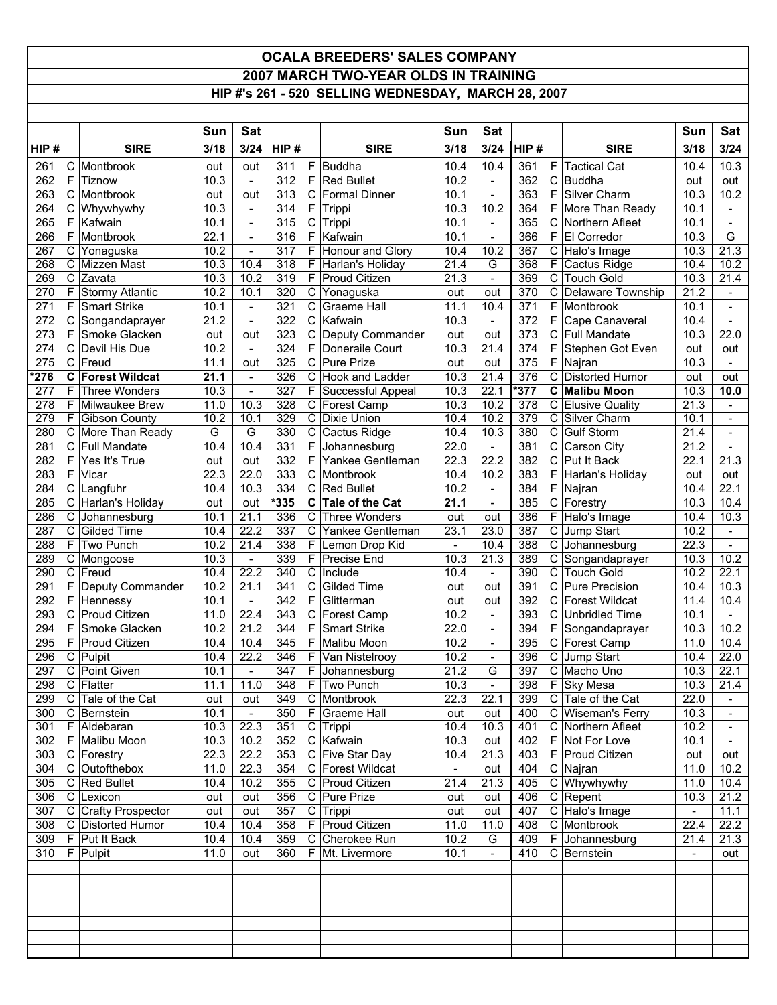## **OCALA BREEDERS' SALES COMPANY 2007 MARCH TWO-YEAR OLDS IN TRAINING HIP #'s 261 - 520 SELLING WEDNESDAY, MARCH 28, 2007**

|                  |                  |                                        | Sun               | <b>Sat</b>               |            |              |                                             | Sun              | Sat                                                  |            |             |                                         | Sun            | Sat                      |
|------------------|------------------|----------------------------------------|-------------------|--------------------------|------------|--------------|---------------------------------------------|------------------|------------------------------------------------------|------------|-------------|-----------------------------------------|----------------|--------------------------|
| HIP#             |                  | <b>SIRE</b>                            | 3/18              | 3/24                     | HIP#       |              | <b>SIRE</b>                                 | 3/18             | 3/24                                                 | HIP#       |             | <b>SIRE</b>                             | 3/18           | 3/24                     |
| 261              | C                | Montbrook                              | out               | out                      | 311        | F            | Buddha                                      | 10.4             | 10.4                                                 | 361        | F           | <b>Tactical Cat</b>                     | 10.4           | 10.3                     |
| 262              | F                | Tiznow                                 | 10.3              | $\overline{\phantom{0}}$ | 312        | F            | <b>Red Bullet</b>                           | 10.2             |                                                      | 362        | С           | <b>Buddha</b>                           | out            | out                      |
| 263              | $\mathbf C$      | Montbrook                              | out               | out                      | 313        | C            | Formal Dinner                               | 10.1             | $\mathbf{r}$                                         | 363        | F           | Silver Charm                            | 10.3           | 10.2                     |
| 264              | $\mathbf C$      | Whywhywhy                              | $10.\overline{3}$ | $\overline{\phantom{a}}$ | 314        | F            | Trippi                                      | 10.3             | 10.2                                                 | 364        | F           | More Than Ready                         | 10.1           |                          |
| 265              | F                | Kafwain                                | 10.1              | $\overline{\phantom{a}}$ | 315        | $\mathsf{C}$ | Trippi                                      | 10.1             | $\overline{\phantom{a}}$                             | 365        | С           | Northern Afleet                         | 10.1           |                          |
| 266<br>267       | F<br>$\mathsf C$ | Montbrook                              | 22.1<br>10.2      | $\frac{1}{2}$            | 316<br>317 | F<br>F       | Kafwain                                     | 10.1<br>10.4     | $\overline{\phantom{a}}$<br>10.2                     | 366<br>367 | F           | El Corredor                             | 10.3           | $\overline{G}$<br>21.3   |
| 268              | C                | Yonaguska<br>Mizzen Mast               | 10.3              | $\blacksquare$<br>10.4   | 318        | F            | <b>Honour and Glory</b><br>Harlan's Holiday | 21.4             | G                                                    | 368        | С<br>F      | Halo's Image<br>Cactus Ridge            | 10.3<br>10.4   | 10.2                     |
| 269              | $\mathbf C$      | Zavata                                 | 10.3              | 10.2                     | 319        | F            | Proud Citizen                               | 21.3             | $\overline{a}$                                       | 369        | С           | <b>Touch Gold</b>                       | 10.3           | 21.4                     |
| 270              | F                | <b>Stormy Atlantic</b>                 | 10.2              | 10.1                     | 320        | $\mathbf C$  | Yonaguska                                   | out              | out                                                  | 370        | С           | Delaware Township                       | 21.2           | $\blacksquare$           |
| 271              | F                | <b>Smart Strike</b>                    | 10.1              | $\overline{\phantom{0}}$ | 321        | C            | <b>Graeme Hall</b>                          | 11.1             | 10.4                                                 | 371        | F           | Montbrook                               | 10.1           |                          |
| $\overline{272}$ | $\mathbf C$      | Songandaprayer                         | 21.2              | $\frac{1}{2}$            | 322        | $\mathsf C$  | Kafwain                                     | 10.3             | $\overline{\phantom{a}}$                             | 372        | $\mathsf F$ | Cape Canaveral                          | 10.4           | $\blacksquare$           |
| 273              | F                | Smoke Glacken                          | out               | out                      | 323        | $\mathbf C$  | Deputy Commander                            | out              | out                                                  | 373        | $\mathsf C$ | Full Mandate                            | 10.3           | 22.0                     |
| 274              | C                | Devil His Due                          | 10.2              | $\overline{\phantom{a}}$ | 324        | F            | Doneraile Court                             | 10.3             | 21.4                                                 | 374        | F           | Stephen Got Even                        | out            | out                      |
| 275              | $\mathsf C$      | Freud                                  | 11.1              | out                      | 325        | $\mathsf C$  | <b>Pure Prize</b>                           | out              | out                                                  | 375        | F           | Najran                                  | 10.3           |                          |
| *276             | C                | <b>Forest Wildcat</b>                  | 21.1              | $\blacksquare$           | 326        | $\mathbf C$  | Hook and Ladder                             | 10.3             | 21.4                                                 | 376        | $\mathsf C$ | <b>Distorted Humor</b>                  | out            | out                      |
| $\overline{277}$ | F                | <b>Three Wonders</b>                   | 10.3              | $\overline{\phantom{0}}$ | 327        | F            | Successful Appeal                           | 10.3             | 22.1                                                 | $*377$     | C           | <b>Malibu Moon</b>                      | 10.3           | 10.0                     |
| 278              | F                | Milwaukee Brew                         | 11.0              | 10.3                     | 328        | $\mathbf C$  | Forest Camp                                 | 10.3             | 10.2                                                 | 378        | $\mathsf C$ | <b>Elusive Quality</b>                  | 21.3           |                          |
| 279              | F                | <b>Gibson County</b>                   | 10.2              | 10.1                     | 329        | C            | Dixie Union                                 | 10.4             | 10.2                                                 | 379        | С           | Silver Charm<br><b>Gulf Storm</b>       | 10.1           | $\overline{\phantom{a}}$ |
| 280<br>281       | C<br>C           | More Than Ready<br><b>Full Mandate</b> | G<br>10.4         | G<br>10.4                | 330<br>331 | C<br>F       | Cactus Ridge<br>Johannesburg                | 10.4<br>22.0     | 10.3                                                 | 380<br>381 | С<br>С      | Carson City                             | 21.4<br>21.2   | $\overline{\phantom{a}}$ |
| 282              | F                | Yes It's True                          | out               | out                      | 332        | F            | Yankee Gentleman                            | 22.3             | 22.2                                                 | 382        | C           | Put It Back                             | 22.1           | 21.3                     |
| 283              | $\overline{F}$   | Vicar                                  | 22.3              | 22.0                     | 333        | C            | Montbrook                                   | 10.4             | 10.2                                                 | 383        | F           | Harlan's Holiday                        | out            | out                      |
| 284              |                  | C Langfuhr                             | 10.4              | 10.3                     | 334        | $\mathsf C$  | Red Bullet                                  | 10.2             | $\overline{\phantom{a}}$                             | 384        | F.          | Najran                                  | 10.4           | 22.1                     |
| 285              | C                | Harlan's Holiday                       | out               | out                      | $*335$     | C            | Tale of the Cat                             | 21.1             | $\blacksquare$                                       | 385        |             | C Forestry                              | 10.3           | 10.4                     |
| 286              | C                | Johannesburg                           | 10.1              | 21.1                     | 336        | C            | Three Wonders                               | out              | out                                                  | 386        | F           | Halo's Image                            | 10.4           | 10.3                     |
| 287              | C                | <b>Gilded Time</b>                     | 10.4              | 22.2                     | 337        | С            | Yankee Gentleman                            | 23.1             | 23.0                                                 | 387        | С           | Jump Start                              | 10.2           |                          |
| 288              | F                | Two Punch                              | 10.2              | 21.4                     | 338        | F            | Lemon Drop Kid                              | $\overline{a}$   | 10.4                                                 | 388        | C           | Johannesburg                            | 22.3           | $\sim$                   |
| 289              |                  | C Mongoose                             | 10.3              | $\frac{1}{2}$            | 339        | F            | <b>Precise End</b>                          | 10.3             | 21.3                                                 | 389        | C           | Songandaprayer                          | 10.3           | 10.2                     |
| 290              | $\mathsf C$      | Freud                                  | 10.4              | 22.2                     | 340        | C            | Include                                     | 10.4             | $\blacksquare$                                       | 390        | С           | Touch Gold                              | 10.2           | 22.1                     |
| 291              | F                | Deputy Commander                       | 10.2              | 21.1                     | 341        | $\mathsf C$  | <b>Gilded Time</b>                          | out              | out                                                  | 391        | $\mathsf C$ | Pure Precision                          | 10.4           | 10.3                     |
| 292              | F<br>$\mathsf C$ | Hennessy                               | 10.1              | $\frac{1}{2}$            | 342<br>343 | F            | Glitterman                                  | out<br>10.2      | out                                                  | 392        | С           | <b>Forest Wildcat</b>                   | 11.4           | 10.4                     |
| 293<br>294       | F                | <b>Proud Citizen</b><br>Smoke Glacken  | 11.0<br>10.2      | 22.4<br>21.2             | 344        | C<br>F       | Forest Camp<br><b>Smart Strike</b>          | 22.0             | $\overline{\phantom{a}}$<br>$\overline{\phantom{a}}$ | 393<br>394 | С<br>F      | <b>Unbridled Time</b><br>Songandaprayer | 10.1<br>10.3   | 10.2                     |
| 295              | $\overline{F}$   | <b>Proud Citizen</b>                   | 10.4              | 10.4                     | 345        | F            | Malibu Moon                                 | 10.2             | $\blacksquare$                                       | 395        |             | C Forest Camp                           | 11.0           | 10.4                     |
| 296              |                  | C Pulpit                               | 10.4              | 22.2                     | 346        | F            | Van Nistelrooy                              | 10.2             | $\overline{\phantom{a}}$                             | 396        | С           | Jump Start                              | 10.4           | 22.0                     |
| 297              | $\mathsf C$      | Point Given                            | 10.1              | $\blacksquare$           | 347        | F            | Johannesburg                                | 21.2             | G                                                    | 397        |             | C Macho Uno                             | 10.3           | 22.1                     |
| 298              | $\mathsf C$      | Flatter                                | 11.1              | 11.0                     | $348$ F    |              | Two Punch                                   | 10.3             | $\overline{\phantom{a}}$                             | 398        |             | F Sky Mesa                              | 10.3           | 21.4                     |
| 299              |                  | $C$ Tale of the Cat                    | out               | out                      |            |              | 349   C   Montbrook                         | 22.3             | 22.1                                                 | 399        |             | C Tale of the Cat                       | 22.0           |                          |
| 300              |                  | C Bernstein                            | 10.1              | $\blacksquare$           | 350        |              | F Graeme Hall                               | out              | out                                                  | 400        |             | C Wiseman's Ferry                       | 10.3           |                          |
| 301              |                  | F Aldebaran                            | 10.3              | 22.3                     | 351        |              | C Trippi                                    | 10.4             | 10.3                                                 | 401        |             | C Northern Afleet                       | 10.2           |                          |
| 302              |                  | F Malibu Moon                          | 10.3              | 10.2                     | 352        |              | C Kafwain                                   | 10.3             | out                                                  | 402        |             | F Not For Love                          | 10.1           |                          |
| 303              |                  | C Forestry                             | 22.3              | 22.2                     | 353        |              | C Five Star Day                             | 10.4             | 21.3                                                 | 403        |             | F Proud Citizen                         | out            | out                      |
| 304<br>305       |                  | C Outofthebox<br>C Red Bullet          | 11.0<br>10.4      | 22.3<br>10.2             | 354<br>355 |              | C Forest Wildcat<br>C Proud Citizen         | $\equiv$<br>21.4 | out<br>21.3                                          | 404<br>405 |             | C Najran<br>C Whywhywhy                 | 11.0<br>11.0   | 10.2<br>10.4             |
| 306              |                  | C Lexicon                              | out               | out                      | 356        |              | C Pure Prize                                | out              | out                                                  | 406        |             | $C$ Repent                              | 10.3           | 21.2                     |
| 307              |                  | C Crafty Prospector                    | out               | out                      | 357        |              | C Trippi                                    | out              | out                                                  | 407        |             | C Halo's Image                          | $\sim$         | 11.1                     |
| 308              |                  | C Distorted Humor                      | 10.4              | 10.4                     | 358        |              | F Proud Citizen                             | 11.0             | 11.0                                                 | 408        |             | C Montbrook                             | 22.4           | 22.2                     |
| 309              |                  | $F$ Put It Back                        | 10.4              | 10.4                     | 359        |              | C Cherokee Run                              | 10.2             | G                                                    | 409        |             | F Johannesburg                          | 21.4           | 21.3                     |
| 310              |                  | F Pulpit                               | 11.0              | out                      | 360        |              | F Mt. Livermore                             | 10.1             | $\omega$                                             | 410        |             | C Bernstein                             | $\blacksquare$ | out                      |
|                  |                  |                                        |                   |                          |            |              |                                             |                  |                                                      |            |             |                                         |                |                          |
|                  |                  |                                        |                   |                          |            |              |                                             |                  |                                                      |            |             |                                         |                |                          |
|                  |                  |                                        |                   |                          |            |              |                                             |                  |                                                      |            |             |                                         |                |                          |
|                  |                  |                                        |                   |                          |            |              |                                             |                  |                                                      |            |             |                                         |                |                          |
|                  |                  |                                        |                   |                          |            |              |                                             |                  |                                                      |            |             |                                         |                |                          |
|                  |                  |                                        |                   |                          |            |              |                                             |                  |                                                      |            |             |                                         |                |                          |
|                  |                  |                                        |                   |                          |            |              |                                             |                  |                                                      |            |             |                                         |                |                          |